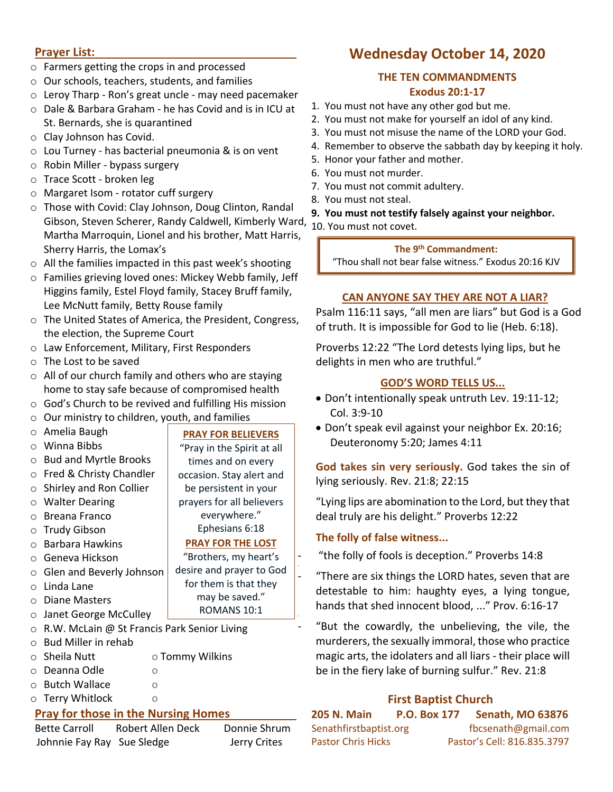### **Prayer List:**

- o Farmers getting the crops in and processed
- o Our schools, teachers, students, and families
- o Leroy Tharp Ron's great uncle may need pacemaker
- o Dale & Barbara Graham he has Covid and is in ICU at St. Bernards, she is quarantined
- o Clay Johnson has Covid.
- o Lou Turney has bacterial pneumonia & is on vent
- o Robin Miller bypass surgery
- o Trace Scott broken leg
- o Margaret Isom rotator cuff surgery
- o Those with Covid: Clay Johnson, Doug Clinton, Randal Gibson, Steven Scherer, Randy Caldwell, Kimberly Ward, Martha Marroquin, Lionel and his brother, Matt Harris, Sherry Harris, the Lomax's
- o All the families impacted in this past week's shooting
- o Families grieving loved ones: Mickey Webb family, Jeff Higgins family, Estel Floyd family, Stacey Bruff family, Lee McNutt family, Betty Rouse family
- o The United States of America, the President, Congress, the election, the Supreme Court
- o Law Enforcement, Military, First Responders
- o The Lost to be saved
- o All of our church family and others who are staying home to stay safe because of compromised health
- o God's Church to be revived and fulfilling His mission
- o Our ministry to children, youth, and families

| $\circ$                             | Amelia Baugh                                | <b>PRAY FOR BELIEVERS</b>  |  |  |  |
|-------------------------------------|---------------------------------------------|----------------------------|--|--|--|
| $\circ$                             | Winna Bibbs                                 | "Pray in the Spirit at all |  |  |  |
| $\circ$                             | <b>Bud and Myrtle Brooks</b>                | times and on every         |  |  |  |
| $\Omega$                            | Fred & Christy Chandler                     | occasion. Stay alert and   |  |  |  |
| $\Omega$                            | Shirley and Ron Collier                     | be persistent in your      |  |  |  |
| $\circ$                             | <b>Walter Dearing</b>                       | prayers for all believers  |  |  |  |
| $\Omega$                            | <b>Breana Franco</b>                        | everywhere."               |  |  |  |
| $\circ$                             | <b>Trudy Gibson</b>                         | Ephesians 6:18             |  |  |  |
| $\Omega$                            | Barbara Hawkins                             | <b>PRAY FOR THE LOST</b>   |  |  |  |
| $\circ$                             | Geneva Hickson                              | "Brothers, my heart's      |  |  |  |
| $\circ$                             | Glen and Beverly Johnson                    | desire and prayer to God   |  |  |  |
| $\Omega$                            | Linda Lane                                  | for them is that they      |  |  |  |
| $\Omega$                            | <b>Diane Masters</b>                        | may be saved."             |  |  |  |
| $\circ$                             | Janet George McCulley                       | ROMANS 10:1                |  |  |  |
| $\circ$                             | R.W. McLain @ St Francis Park Senior Living |                            |  |  |  |
| $\Omega$                            | <b>Bud Miller in rehab</b>                  |                            |  |  |  |
| $\circ$                             | Sheila Nutt                                 | o Tommy Wilkins            |  |  |  |
| $\circ$                             | Deanna Odle<br>O                            |                            |  |  |  |
| $\Omega$                            | <b>Butch Wallace</b><br>$\circ$             |                            |  |  |  |
| $\circ$                             | <b>Terry Whitlock</b><br>$\circ$            |                            |  |  |  |
| Pray for those in the Nursing Homes |                                             |                            |  |  |  |

# **Pray for those in the Nursing Homes**

| <b>Bette Carroll</b>       | Robert Allen Deck | Donnie Shrum |
|----------------------------|-------------------|--------------|
| Johnnie Fay Ray Sue Sledge |                   | Jerry Crites |

# **Wednesday October 14, 2020**

### **THE TEN COMMANDMENTS Exodus 20:1-17**

- 1. You must not have any other god but me.
- 2. You must not make for yourself an idol of any kind.
- 3. You must not misuse the name of the LORD your God.
- 4. Remember to observe the sabbath day by keeping it holy.
- 5. Honor your father and mother.
- 6. You must not murder.
- 7. You must not commit adultery.
- 8. You must not steal.
- **9. You must not testify falsely against your neighbor.**
- 10. You must not covet.

# **The 9th Commandment:**

"Thou shall not bear false witness." Exodus 20:16 KJV

# **CAN ANYONE SAY THEY ARE NOT A LIAR?**

Psalm 116:11 says, "all men are liars" but God is a God of truth. It is impossible for God to lie (Heb. 6:18).

Proverbs 12:22 "The Lord detests lying lips, but he delights in men who are truthful."

# **GOD'S WORD TELLS US...**

- Don't intentionally speak untruth Lev. 19:11-12; Col. 3:9-10
- Don't speak evil against your neighbor Ex. 20:16; Deuteronomy 5:20; James 4:11

**God takes sin very seriously.** God takes the sin of lying seriously. Rev. 21:8; 22:15

"Lying lips are abomination to the Lord, but they that deal truly are his delight." Proverbs 12:22

# **The folly of false witness...**

-

-

"the folly of fools is deception." Proverbs 14:8

"There are six things the LORD hates, seven that are detestable to him: haughty eyes, a lying tongue, hands that shed innocent blood, ..." Prov. 6:16-17

"But the cowardly, the unbelieving, the vile, the murderers, the sexually immoral, those who practice magic arts, the idolaters and all liars - their place will be in the fiery lake of burning sulfur." Rev. 21:8

# **First Baptist Church**

| <b>205 N. Main</b>        | <b>P.O. Box 177</b> | <b>Senath, MO 63876</b>     |
|---------------------------|---------------------|-----------------------------|
| Senathfirstbaptist.org    |                     | fbcsenath@gmail.com         |
| <b>Pastor Chris Hicks</b> |                     | Pastor's Cell: 816.835.3797 |